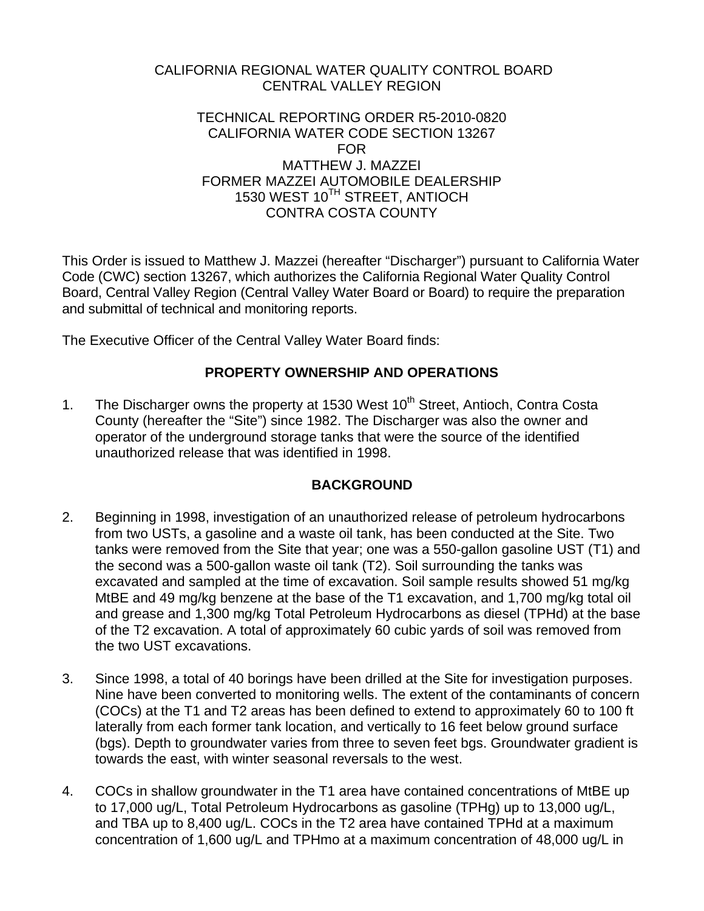### CALIFORNIA REGIONAL WATER QUALITY CONTROL BOARD CENTRAL VALLEY REGION

#### TECHNICAL REPORTING ORDER R5-2010-0820 CALIFORNIA WATER CODE SECTION 13267 FOR MATTHEW J. MAZZEI FORMER MAZZEI AUTOMOBILE DEALERSHIP 1530 WEST 10<sup>TH</sup> STREET, ANTIOCH CONTRA COSTA COUNTY

This Order is issued to Matthew J. Mazzei (hereafter "Discharger") pursuant to California Water Code (CWC) section 13267, which authorizes the California Regional Water Quality Control Board, Central Valley Region (Central Valley Water Board or Board) to require the preparation and submittal of technical and monitoring reports.

The Executive Officer of the Central Valley Water Board finds:

# **PROPERTY OWNERSHIP AND OPERATIONS**

1. The Discharger owns the property at 1530 West 10<sup>th</sup> Street, Antioch, Contra Costa County (hereafter the "Site") since 1982. The Discharger was also the owner and operator of the underground storage tanks that were the source of the identified unauthorized release that was identified in 1998.

### **BACKGROUND**

- 2. Beginning in 1998, investigation of an unauthorized release of petroleum hydrocarbons from two USTs, a gasoline and a waste oil tank, has been conducted at the Site. Two tanks were removed from the Site that year; one was a 550-gallon gasoline UST (T1) and the second was a 500-gallon waste oil tank (T2). Soil surrounding the tanks was excavated and sampled at the time of excavation. Soil sample results showed 51 mg/kg MtBE and 49 mg/kg benzene at the base of the T1 excavation, and 1,700 mg/kg total oil and grease and 1,300 mg/kg Total Petroleum Hydrocarbons as diesel (TPHd) at the base of the T2 excavation. A total of approximately 60 cubic yards of soil was removed from the two UST excavations.
- 3. Since 1998, a total of 40 borings have been drilled at the Site for investigation purposes. Nine have been converted to monitoring wells. The extent of the contaminants of concern (COCs) at the T1 and T2 areas has been defined to extend to approximately 60 to 100 ft laterally from each former tank location, and vertically to 16 feet below ground surface (bgs). Depth to groundwater varies from three to seven feet bgs. Groundwater gradient is towards the east, with winter seasonal reversals to the west.
- 4. COCs in shallow groundwater in the T1 area have contained concentrations of MtBE up to 17,000 ug/L, Total Petroleum Hydrocarbons as gasoline (TPHg) up to 13,000 ug/L, and TBA up to 8,400 ug/L. COCs in the T2 area have contained TPHd at a maximum concentration of 1,600 ug/L and TPHmo at a maximum concentration of 48,000 ug/L in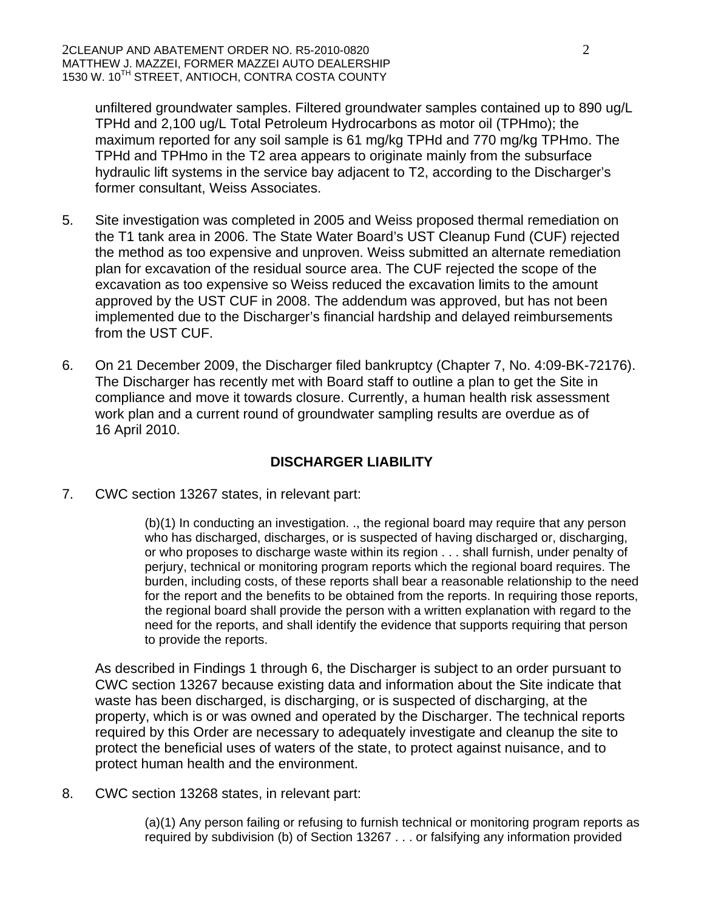unfiltered groundwater samples. Filtered groundwater samples contained up to 890 ug/L TPHd and 2,100 ug/L Total Petroleum Hydrocarbons as motor oil (TPHmo); the maximum reported for any soil sample is 61 mg/kg TPHd and 770 mg/kg TPHmo. The TPHd and TPHmo in the T2 area appears to originate mainly from the subsurface hydraulic lift systems in the service bay adjacent to T2, according to the Discharger's former consultant, Weiss Associates.

- 5. Site investigation was completed in 2005 and Weiss proposed thermal remediation on the T1 tank area in 2006. The State Water Board's UST Cleanup Fund (CUF) rejected the method as too expensive and unproven. Weiss submitted an alternate remediation plan for excavation of the residual source area. The CUF rejected the scope of the excavation as too expensive so Weiss reduced the excavation limits to the amount approved by the UST CUF in 2008. The addendum was approved, but has not been implemented due to the Discharger's financial hardship and delayed reimbursements from the UST CUF.
- 6. On 21 December 2009, the Discharger filed bankruptcy (Chapter 7, No. 4:09-BK-72176). The Discharger has recently met with Board staff to outline a plan to get the Site in compliance and move it towards closure. Currently, a human health risk assessment work plan and a current round of groundwater sampling results are overdue as of 16 April 2010.

### **DISCHARGER LIABILITY**

7. CWC section 13267 states, in relevant part:

(b)(1) In conducting an investigation. ., the regional board may require that any person who has discharged, discharges, or is suspected of having discharged or, discharging, or who proposes to discharge waste within its region . . . shall furnish, under penalty of perjury, technical or monitoring program reports which the regional board requires. The burden, including costs, of these reports shall bear a reasonable relationship to the need for the report and the benefits to be obtained from the reports. In requiring those reports, the regional board shall provide the person with a written explanation with regard to the need for the reports, and shall identify the evidence that supports requiring that person to provide the reports.

As described in Findings 1 through 6, the Discharger is subject to an order pursuant to CWC section 13267 because existing data and information about the Site indicate that waste has been discharged, is discharging, or is suspected of discharging, at the property, which is or was owned and operated by the Discharger. The technical reports required by this Order are necessary to adequately investigate and cleanup the site to protect the beneficial uses of waters of the state, to protect against nuisance, and to protect human health and the environment.

8. CWC section 13268 states, in relevant part:

(a)(1) Any person failing or refusing to furnish technical or monitoring program reports as required by subdivision (b) of Section 13267 . . . or falsifying any information provided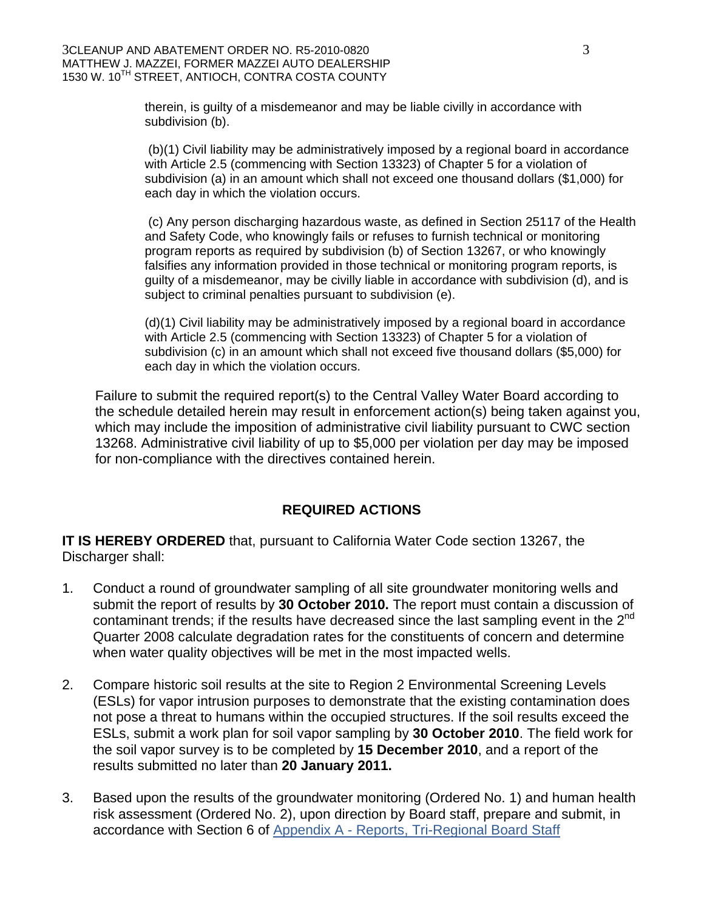therein, is guilty of a misdemeanor and may be liable civilly in accordance with subdivision (b).

 (b)(1) Civil liability may be administratively imposed by a regional board in accordance with Article 2.5 (commencing with Section 13323) of Chapter 5 for a violation of subdivision (a) in an amount which shall not exceed one thousand dollars (\$1,000) for each day in which the violation occurs.

 (c) Any person discharging hazardous waste, as defined in Section 25117 of the Health and Safety Code, who knowingly fails or refuses to furnish technical or monitoring program reports as required by subdivision (b) of Section 13267, or who knowingly falsifies any information provided in those technical or monitoring program reports, is guilty of a misdemeanor, may be civilly liable in accordance with subdivision (d), and is subject to criminal penalties pursuant to subdivision (e).

(d)(1) Civil liability may be administratively imposed by a regional board in accordance with Article 2.5 (commencing with Section 13323) of Chapter 5 for a violation of subdivision (c) in an amount which shall not exceed five thousand dollars (\$5,000) for each day in which the violation occurs.

Failure to submit the required report(s) to the Central Valley Water Board according to the schedule detailed herein may result in enforcement action(s) being taken against you, which may include the imposition of administrative civil liability pursuant to CWC section 13268. Administrative civil liability of up to \$5,000 per violation per day may be imposed for non-compliance with the directives contained herein.

# **REQUIRED ACTIONS**

**IT IS HEREBY ORDERED** that, pursuant to California Water Code section 13267, the Discharger shall:

- 1. Conduct a round of groundwater sampling of all site groundwater monitoring wells and submit the report of results by **30 October 2010.** The report must contain a discussion of contaminant trends; if the results have decreased since the last sampling event in the  $2<sup>nd</sup>$ Quarter 2008 calculate degradation rates for the constituents of concern and determine when water quality objectives will be met in the most impacted wells.
- 2. Compare historic soil results at the site to Region 2 Environmental Screening Levels (ESLs) for vapor intrusion purposes to demonstrate that the existing contamination does not pose a threat to humans within the occupied structures. If the soil results exceed the ESLs, submit a work plan for soil vapor sampling by **30 October 2010**. The field work for the soil vapor survey is to be completed by **15 December 2010**, and a report of the results submitted no later than **20 January 2011.**
- 3. Based upon the results of the groundwater monitoring (Ordered No. 1) and human health risk assessment (Ordered No. 2), upon direction by Board staff, prepare and submit, in accordance with Section 6 of [Appendix A - Reports, Tri-Regional Board Staff](http://www.waterboards.ca.gov/centralvalley/water_issues/underground_storage_tanks/tri-regionals_appendix_a.pdf)